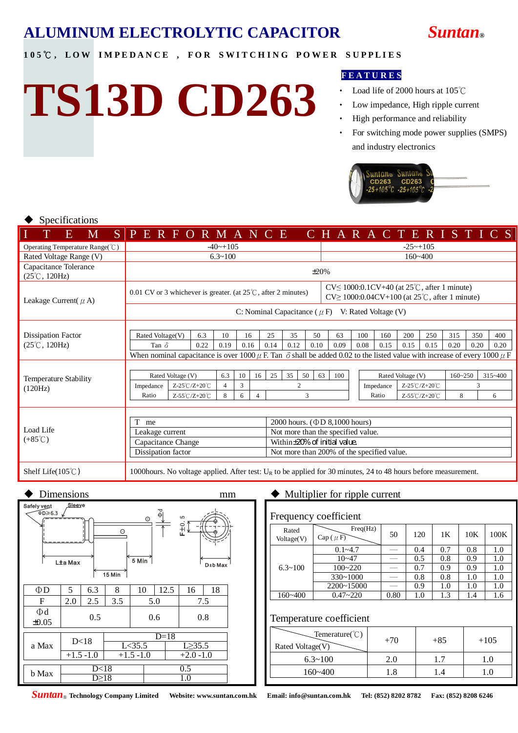

#### 105℃, LOW IMPEDANCE, FOR SWITCHING POWER SUPPLIES

# **TS13D CD263**

#### **F E A T U R E S**

- Load life of 2000 hours at 105℃
- Low impedance, High ripple current
- High performance and reliability
- ‧ For switching mode power supplies (SMPS) and industry electronics



#### Specifications

| Ι<br>E<br>M                                                   | SPERFORMANCE CHARACTERISTICS                                                                                                                                                                     |                   |      |                |      |                                    |                                     |      |          |                                            |      |                  |                   |             |             |      |             |
|---------------------------------------------------------------|--------------------------------------------------------------------------------------------------------------------------------------------------------------------------------------------------|-------------------|------|----------------|------|------------------------------------|-------------------------------------|------|----------|--------------------------------------------|------|------------------|-------------------|-------------|-------------|------|-------------|
| Operating Temperature Range(°C)                               | $-40$ $-105$                                                                                                                                                                                     |                   |      |                |      |                                    |                                     |      |          | $-25$ ~+105                                |      |                  |                   |             |             |      |             |
| Rated Voltage Range (V)                                       | $6.3 \times 100$                                                                                                                                                                                 |                   |      |                |      |                                    |                                     |      |          |                                            |      |                  | $160 - 400$       |             |             |      |             |
| Capacitance Tolerance<br>$(25^{\circ}\text{C}, 120\text{Hz})$ | $\pm 20\%$                                                                                                                                                                                       |                   |      |                |      |                                    |                                     |      |          |                                            |      |                  |                   |             |             |      |             |
| Leakage Current( $\mu$ A)                                     | $CV \leq 1000:0.1CV + 40$ (at $25^{\circ}C$ , after 1 minute)<br>0.01 CV or 3 whichever is greater. (at $25^{\circ}$ C, after 2 minutes)<br>$CV \ge 1000:0.04CV + 100$ (at 25°C, after 1 minute) |                   |      |                |      |                                    |                                     |      |          |                                            |      |                  |                   |             |             |      |             |
|                                                               | C: Nominal Capacitance ( $\mu$ F) V: Rated Voltage (V)                                                                                                                                           |                   |      |                |      |                                    |                                     |      |          |                                            |      |                  |                   |             |             |      |             |
| Dissipation Factor                                            | Rated Voltage(V)                                                                                                                                                                                 |                   | 6.3  | 10             | 16   |                                    | 25                                  | 35   | 50       | 63                                         | 100  | 160              | 200               | 250         | 315         | 350  | 400         |
| $(25^{\circ}\text{C}, 120\text{Hz})$                          | Tan $\delta$                                                                                                                                                                                     |                   | 0.22 | 0.19           | 0.16 |                                    | 0.14                                | 0.12 | 0.10     | 0.09                                       | 0.08 | 0.15             | 0.15              | 0.15        | 0.20        | 0.20 | 0.20        |
|                                                               | When nominal capacitance is over 1000 $\mu$ F. Tan $\delta$ shall be added 0.02 to the listed value with increase of every 1000 $\mu$ F                                                          |                   |      |                |      |                                    |                                     |      |          |                                            |      |                  |                   |             |             |      |             |
|                                                               |                                                                                                                                                                                                  |                   |      |                |      |                                    |                                     |      |          |                                            |      |                  |                   |             |             |      |             |
| Temperature Stability                                         |                                                                                                                                                                                                  | Rated Voltage (V) |      | 6.3<br>10      |      | 16                                 | 25                                  | 35   | 50<br>63 | 100                                        |      |                  | Rated Voltage (V) |             | $160 - 250$ |      | $315 - 400$ |
| (120Hz)                                                       | Z-25℃/Z+20℃<br>Impedance                                                                                                                                                                         |                   |      | 4              | 3    |                                    | $\overline{2}$                      |      |          |                                            |      | Impedance        |                   | Z-25℃/Z+20℃ |             | 3    |             |
|                                                               | Ratio                                                                                                                                                                                            | 8                 | 6    | $\overline{4}$ | 3    |                                    |                                     |      |          | Ratio                                      |      | 8<br>Z-55℃/Z+20℃ |                   |             | 6           |      |             |
|                                                               |                                                                                                                                                                                                  |                   |      |                |      |                                    |                                     |      |          |                                            |      |                  |                   |             |             |      |             |
|                                                               | me                                                                                                                                                                                               |                   |      |                |      |                                    | 2000 hours. $(\Phi D 8,1000$ hours) |      |          |                                            |      |                  |                   |             |             |      |             |
| Load Life                                                     | Leakage current                                                                                                                                                                                  |                   |      |                |      | Not more than the specified value. |                                     |      |          |                                            |      |                  |                   |             |             |      |             |
| $(+85^{\circ}C)$                                              | Capacitance Change                                                                                                                                                                               |                   |      |                |      |                                    |                                     |      |          | Within±20% of initial value.               |      |                  |                   |             |             |      |             |
|                                                               | Dissipation factor                                                                                                                                                                               |                   |      |                |      |                                    |                                     |      |          | Not more than 200% of the specified value. |      |                  |                   |             |             |      |             |
| Shelf Life $(105^{\circ}C)$                                   | 1000 hours. No voltage applied. After test: $U_R$ to be applied for 30 minutes, 24 to 48 hours before measurement.                                                                               |                   |      |                |      |                                    |                                     |      |          |                                            |      |                  |                   |             |             |      |             |



Frequency coefficient

| <b>FIEQUETICY COEFFICIENT</b> |                            |      |     |     |     |      |  |  |  |  |
|-------------------------------|----------------------------|------|-----|-----|-----|------|--|--|--|--|
| Rated<br>Voltage(V)           | Freq(Hz)<br>$Cap((\mu F))$ | 50   | 120 | 1K  | 10K | 100K |  |  |  |  |
|                               | $0.1 - 4.7$                |      | 0.4 | 0.7 | 0.8 | 1.0  |  |  |  |  |
|                               | $10 - 47$                  |      | 0.5 | 0.8 | 0.9 | 1.0  |  |  |  |  |
| $6.3 \times 100$              | $100 - 220$                |      | 0.7 | 0.9 | 0.9 | 1.0  |  |  |  |  |
|                               | $330 - 1000$               |      | 0.8 | 0.8 | 1.0 | 1.0  |  |  |  |  |
|                               | 2200~15000                 |      | 0.9 | 1.0 | 1.0 | 1.0  |  |  |  |  |
| $160 - 400$                   | $0.47 - 220$               | 0.80 | 1.0 | 1.3 | 1.4 | 1.6  |  |  |  |  |

#### Temperature coefficient

| $\text{Temperature}(\text{°C})$<br>Rated Voltage(V) | $+70$ | $+85$ | $+105$ |
|-----------------------------------------------------|-------|-------|--------|
| $6.3 \times 100$                                    |       |       |        |
| $160 - 400$                                         |       |       |        |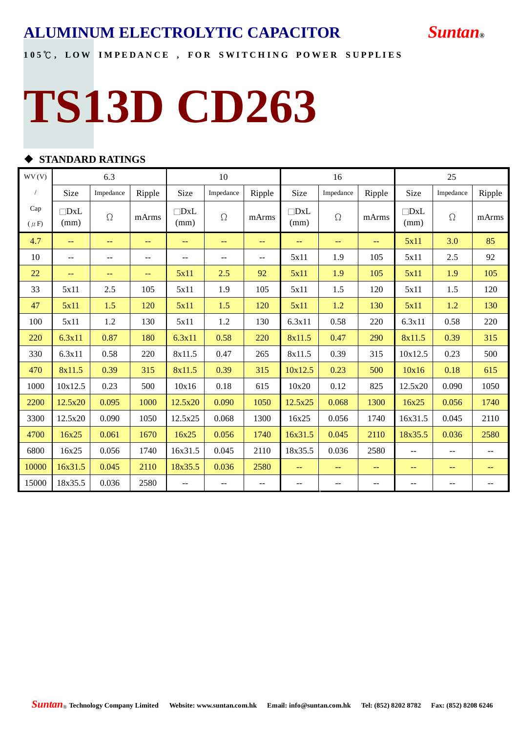#### 105℃, LOW IMPEDANCE, FOR SWITCHING POWER SUPPLIES

# **TS13D CD263**

#### $\blacklozenge$  STANDARD RATINGS

| WV(V)            |                    | 6.3               |        |                          | 10        |                   |                    | 16                |                   | 25                       |           |        |
|------------------|--------------------|-------------------|--------|--------------------------|-----------|-------------------|--------------------|-------------------|-------------------|--------------------------|-----------|--------|
|                  | Size               | Impedance         | Ripple | Size                     | Impedance | Ripple            | Size               | Impedance         | Ripple            | Size                     | Impedance | Ripple |
| Cap<br>$(\mu F)$ | $\Box$ DxL<br>(mm) | $\Omega$          | mArms  | $\Box$ DxL<br>(mm)       | $\Omega$  | mArms             | $\Box$ DxL<br>(mm) | $\Omega$          | mArms             | $\Box$ DxL<br>(mm)       | $\Omega$  | mArms  |
| 4.7              | $-$                | $\frac{1}{2}$     | $-$    | $-$                      | $-$       | $\equiv$ $\equiv$ | $-$                | ÷.                | $-$               | 5x11                     | 3.0       | 85     |
| 10               | $-$                | $-$               | $-$    | $\frac{1}{2}$            | $-$       | $\mathbf{u}$      | 5x11               | 1.9               | 105               | 5x11                     | 2.5       | 92     |
| 22               | $\qquad \qquad -$  | $\qquad \qquad -$ | $-$    | 5x11                     | 2.5       | 92                | 5x11               | 1.9               | 105               | 5x11                     | 1.9       | 105    |
| 33               | 5x11               | 2.5               | 105    | 5x11                     | 1.9       | 105               | 5x11               | 1.5               | 120               | 5x11                     | 1.5       | 120    |
| 47               | 5x11               | 1.5               | 120    | 5x11                     | 1.5       | 120               | 5x11               | 1.2               | 130               | 5x11                     | 1.2       | 130    |
| 100              | 5x11               | 1.2               | 130    | 5x11                     | 1.2       | 130               | 6.3x11             | 0.58              | 220               | 6.3x11                   | 0.58      | 220    |
| 220              | 6.3x11             | 0.87              | 180    | 6.3x11                   | 0.58      | 220               | 8x11.5             | 0.47              | 290               | 8x11.5                   | 0.39      | 315    |
| 330              | 6.3x11             | 0.58              | 220    | 8x11.5                   | 0.47      | 265               | 8x11.5             | 0.39              | 315               | 10x12.5                  | 0.23      | 500    |
| 470              | 8x11.5             | 0.39              | 315    | 8x11.5                   | 0.39      | 315               | 10x12.5            | 0.23              | 500               | 10x16                    | 0.18      | 615    |
| 1000             | 10x12.5            | 0.23              | 500    | 10x16                    | 0.18      | 615               | 10x20              | 0.12              | 825               | 12.5x20                  | 0.090     | 1050   |
| 2200             | 12.5x20            | 0.095             | 1000   | 12.5x20                  | 0.090     | 1050              | 12.5x25            | 0.068             | 1300              | 16x25                    | 0.056     | 1740   |
| 3300             | 12.5x20            | 0.090             | 1050   | 12.5x25                  | 0.068     | 1300              | 16x25              | 0.056             | 1740              | 16x31.5                  | 0.045     | 2110   |
| 4700             | 16x25              | 0.061             | 1670   | 16x25                    | 0.056     | 1740              | 16x31.5            | 0.045             | 2110              | 18x35.5                  | 0.036     | 2580   |
| 6800             | 16x25              | 0.056             | 1740   | 16x31.5                  | 0.045     | 2110              | 18x35.5            | 0.036             | 2580              | $\sim$ $\sim$            | $-$       | $-$    |
| 10000            | 16x31.5            | 0.045             | 2110   | 18x35.5                  | 0.036     | 2580              | $= -$              | $\qquad \qquad -$ | $\qquad \qquad -$ | $\qquad \qquad -$        | $-$       | $- -$  |
| 15000            | 18x35.5            | 0.036             | 2580   | $\overline{\phantom{a}}$ | $-$       | --                | $- -$              | --                | $-$               | $\overline{\phantom{m}}$ | --        | $-$    |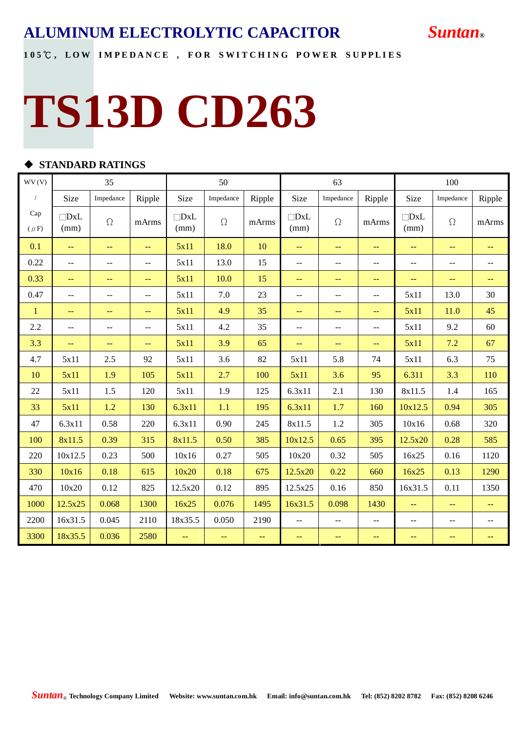#### 105℃, LOW IMPEDANCE, FOR SWITCHING POWER SUPPLIES

# **TS13D CD263**

#### u **STANDARD RATINGS**

| WV(V)            |                    | 35                       |                 |                    | 50            |               |                          | 63            |                          |                    |                          |                                               |
|------------------|--------------------|--------------------------|-----------------|--------------------|---------------|---------------|--------------------------|---------------|--------------------------|--------------------|--------------------------|-----------------------------------------------|
| $\sqrt{2}$       | Size               | Impedance                | Ripple          | Size               | Impedance     | Ripple        | Size                     | Impedance     | Ripple                   | Size               | Impedance                | Ripple                                        |
| Cap<br>$(\mu F)$ | $\neg$ DxL<br>(mm) | $\Omega$                 | mArms           | $\Box$ DxL<br>(mm) | $\Omega$      | mArms         | $\Box$ DxL<br>(mm)       | $\Omega$      | mArms                    | $\Box$ DxL<br>(mm) | $\Omega$                 | mArms                                         |
| 0.1              | $\perp$ .          | $-$                      | ÷÷              | 5x11               | 18.0          | 10            | $\perp$ .                | 44            | $\rightarrow$            | 44                 | $\equiv$ $\equiv$        | $-$                                           |
| 0.22             | $\mathbf{u}$       | $\overline{a}$           | $-$             | 5x11               | 13.0          | 15            | $\mathbf{u}$             | $-$           | $\mathbf{u}$             | $\overline{a}$     | $\overline{a}$           | $\overline{a}$                                |
| 0.33             | $\rightarrow$      | $\rightarrow$            | $\perp$ $\perp$ | 5x11               | 10.0          | 15            | $\rightarrow$            | 44            | $\qquad \qquad -$        | 44                 | $\equiv$ $\equiv$        | $\qquad \qquad -$                             |
| 0.47             | $\mathbf{u}$       | $\overline{\phantom{a}}$ | $\overline{a}$  | 5x11               | 7.0           | 23            | $\overline{\phantom{a}}$ | $-$           | $\mathbf{u}$             | 5x11               | 13.0                     | 30                                            |
| $\mathbf{1}$     | $\qquad \qquad -$  | --                       | --              | 5x11               | 4.9           | 35            | $\qquad \qquad -$        | --            | $\qquad \qquad -$        | 5x11               | 11.0                     | 45                                            |
| 2.2              | $\overline{a}$     | $-$                      | $\overline{a}$  | 5x11               | 4.2           | 35            | $\overline{a}$           | $-$           | $\overline{\phantom{m}}$ | 5x11               | 9.2                      | 60                                            |
| 3.3              | $\perp$ .          | $\perp$ .                | $\perp$ $\perp$ | 5x11               | 3.9           | 65            | $\perp$ .                | $\equiv$      | $\perp$ $\perp$          | 5x11               | 7.2                      | 67                                            |
| 4.7              | 5x11               | 2.5                      | 92              | 5x11               | 3.6           | 82            | 5x11                     | 5.8           | 74                       | 5x11               | 6.3                      | 75                                            |
| 10               | 5x11               | 1.9                      | 105             | 5x11               | 2.7           | 100           | 5x11                     | 3.6           | 95                       | 6.311              | 3.3                      | 110                                           |
| 22               | 5x11               | 1.5                      | 120             | 5x11               | 1.9           | 125           | 6.3x11                   | 2.1           | 130                      | 8x11.5             | 1.4                      | 165                                           |
| 33               | 5x11               | 1.2                      | 130             | 6.3x11             | 1.1           | 195           | 6.3x11                   | 1.7           | 160                      | 10x12.5            | 0.94                     | 305                                           |
| 47               | 6.3x11             | 0.58                     | 220             | 6.3x11             | 0.90          | 245           | 8x11.5                   | 1.2           | 305                      | 10x16              | 0.68                     | 320                                           |
| 100              | 8x11.5             | 0.39                     | 315             | 8x11.5             | 0.50          | 385           | 10x12.5                  | 0.65          | 395                      | 12.5x20            | 0.28                     | 585                                           |
| 220              | 10x12.5            | 0.23                     | 500             | 10x16              | 0.27          | 505           | 10x20                    | 0.32          | 505                      | 16x25              | 0.16                     | 1120                                          |
| 330              | 10x16              | 0.18                     | 615             | 10x20              | 0.18          | 675           | 12.5x20                  | 0.22          | 660                      | 16x25              | 0.13                     | 1290                                          |
| 470              | 10x20              | 0.12                     | 825             | 12.5x20            | 0.12          | 895           | 12.5x25                  | 0.16          | 850                      | 16x31.5            | 0.11                     | 1350                                          |
| 1000             | 12.5x25            | 0.068                    | 1300            | 16x25              | 0.076         | 1495          | 16x31.5                  | 0.098         | 1430                     | 44                 | $-$                      | $--$                                          |
| 2200             | 16x31.5            | 0.045                    | 2110            | 18x35.5            | 0.050         | 2190          | $\overline{a}$           | --            | $-$                      | --                 | $\overline{\phantom{m}}$ | --                                            |
| 3300             | 18x35.5            | 0.036                    | 2580            | 44                 | $\rightarrow$ | $\rightarrow$ | $\rightarrow$            | $\rightarrow$ | $\rightarrow$            | --                 | $\rightarrow$            | $\mathord{\hspace{1pt}\text{--}\hspace{1pt}}$ |